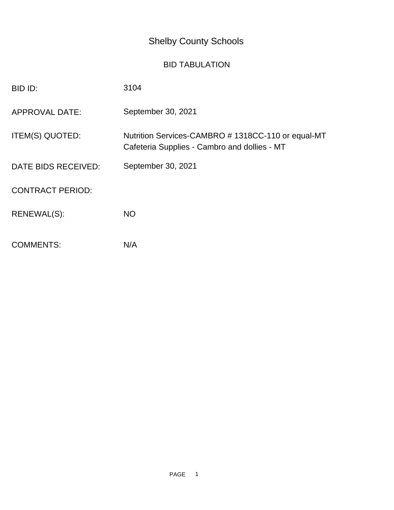## Shelby County Schools

## BID TABULATION

| BID ID:                 | 3104                                                                                              |
|-------------------------|---------------------------------------------------------------------------------------------------|
| <b>APPROVAL DATE:</b>   | September 30, 2021                                                                                |
| ITEM(S) QUOTED:         | Nutrition Services-CAMBRO #1318CC-110 or equal-MT<br>Cafeteria Supplies - Cambro and dollies - MT |
| DATE BIDS RECEIVED:     | September 30, 2021                                                                                |
| <b>CONTRACT PERIOD:</b> |                                                                                                   |
| RENEWAL(S):             | <b>NO</b>                                                                                         |
| <b>COMMENTS:</b>        | N/A                                                                                               |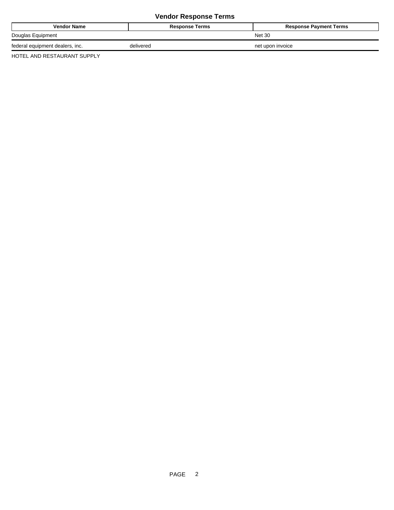## **Vendor Response Terms**

| <b>Vendor Name</b>              | <b>Response Terms</b> | <b>Response Payment Terms</b> |
|---------------------------------|-----------------------|-------------------------------|
| Douglas Equipment               |                       | <b>Net 30</b>                 |
| federal equipment dealers, inc. | delivered             | net upon invoice              |

HOTEL AND RESTAURANT SUPPLY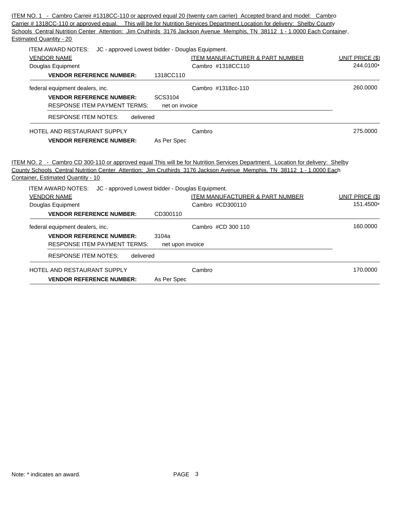|                                                                    | ITEM NO. 1 - Cambro Carreir #1318CC-110 or approved equal 20 (twenty cam carrier) Accepted brand and model: Cambro             |                        |
|--------------------------------------------------------------------|--------------------------------------------------------------------------------------------------------------------------------|------------------------|
|                                                                    | Carrier # 1318CC-110 or approved equal. This will be for Nutrition Services Department. Location for delivery: Shelby County   |                        |
|                                                                    | Schools Central Nutrition Center Attention: Jim Cruthirds 3176 Jackson Avenue Memphis, TN 38112 1 - 1.0000 Each Container,     |                        |
| <b>Estimated Quantity - 20</b>                                     |                                                                                                                                |                        |
| ITEM AWARD NOTES: JC - approved Lowest bidder - Douglas Equipment. |                                                                                                                                |                        |
| <b>VENDOR NAME</b>                                                 | <b>ITEM MANUFACTURER &amp; PART NUMBER</b>                                                                                     | UNIT PRICE (\$)        |
| Douglas Equipment                                                  | Cambro #1318CC110                                                                                                              | 244.0100*              |
| <b>VENDOR REFERENCE NUMBER:</b>                                    | 1318CC110                                                                                                                      |                        |
| federal equipment dealers, inc.                                    | Cambro #1318cc-110                                                                                                             | 260,0000               |
| <b>VENDOR REFERENCE NUMBER:</b>                                    | SCS3104                                                                                                                        |                        |
| <b>RESPONSE ITEM PAYMENT TERMS:</b>                                | net on invoice                                                                                                                 |                        |
| <b>RESPONSE ITEM NOTES:</b><br>delivered                           |                                                                                                                                |                        |
| HOTEL AND RESTAURANT SUPPLY                                        | Cambro                                                                                                                         | 275,0000               |
| <b>VENDOR REFERENCE NUMBER:</b>                                    | As Per Spec                                                                                                                    |                        |
|                                                                    |                                                                                                                                |                        |
|                                                                    | ITEM NO. 2 - Cambro CD 300-110 or approved equal This will be for Nutrition Services Department. Location for delivery: Shelby |                        |
| Container, Estimated Quantity - 10                                 | County Schools Central Nutrition Center Attention: Jim Cruthirds 3176 Jackson Avenue Memphis, TN 38112 1 - 1.0000 Each         |                        |
|                                                                    |                                                                                                                                |                        |
| ITEM AWARD NOTES: JC - approved Lowest bidder - Douglas Equipment. |                                                                                                                                |                        |
| <b>VENDOR NAME</b>                                                 | <b>ITEM MANUFACTURER &amp; PART NUMBER</b>                                                                                     | <b>UNIT PRICE (\$)</b> |
| Douglas Equipment                                                  | Cambro #CD300110                                                                                                               | 151.4500*              |
| <b>VENDOR REFERENCE NUMBER:</b>                                    | CD300110                                                                                                                       |                        |
| federal equipment dealers, inc.                                    | Cambro #CD 300 110                                                                                                             | 160,0000               |
| <b>VENDOR REFERENCE NUMBER:</b>                                    | 3104a                                                                                                                          |                        |
| <b>RESPONSE ITEM PAYMENT TERMS:</b>                                | net upon invoice                                                                                                               |                        |
| <b>RESPONSE ITEM NOTES:</b><br>delivered                           |                                                                                                                                |                        |
| <b>HOTEL AND RESTAURANT SUPPLY</b>                                 | Cambro                                                                                                                         | 170.0000               |
| <b>VENDOR REFERENCE NUMBER:</b>                                    | As Per Spec                                                                                                                    |                        |
|                                                                    |                                                                                                                                |                        |